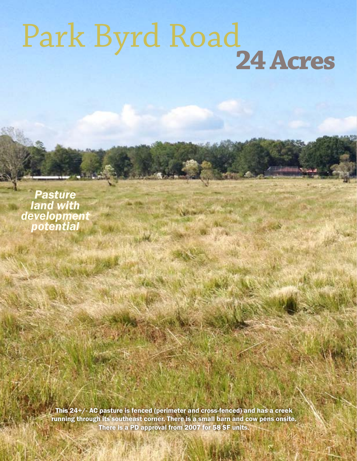## Park Byrd Road**24 Acres**

*Pasture land with development potential*

> **Coldwell Banker Commercial Saudier Saunders Real Estate Proproval from 2007 for 58 SF units.** This 24+/- AC pasture is fenced (perimeter and cross-fenced) and has a creek running through its southeast corner. There is a small barn and cow pens onsite.

14 N. Tennessee, 3rd Floor, Lakeland, Floor, Lakeland, FL 33801 • 863.1528 • Saunders

110912-A